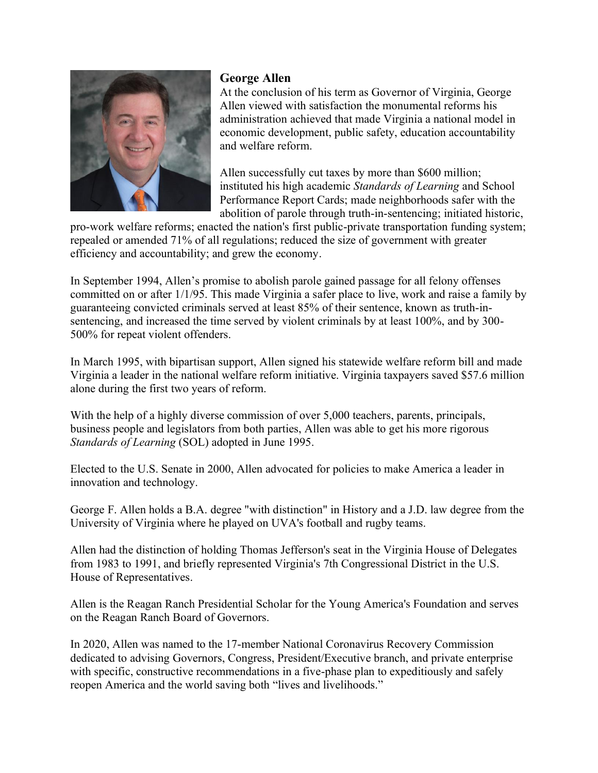

# **George Allen**

At the conclusion of his term as Governor of Virginia, George Allen viewed with satisfaction the monumental reforms his administration achieved that made Virginia a national model in economic development, public safety, education accountability and welfare reform.

Allen successfully cut taxes by more than \$600 million; instituted his high academic *Standards of Learning* and School Performance Report Cards; made neighborhoods safer with the abolition of parole through truth-in-sentencing; initiated historic,

pro-work welfare reforms; enacted the nation's first public-private transportation funding system; repealed or amended 71% of all regulations; reduced the size of government with greater efficiency and accountability; and grew the economy.

In September 1994, Allen's promise to abolish parole gained passage for all felony offenses committed on or after 1/1/95. This made Virginia a safer place to live, work and raise a family by guaranteeing convicted criminals served at least 85% of their sentence, known as truth-insentencing, and increased the time served by violent criminals by at least 100%, and by 300- 500% for repeat violent offenders.

In March 1995, with bipartisan support, Allen signed his statewide welfare reform bill and made Virginia a leader in the national welfare reform initiative. Virginia taxpayers saved \$57.6 million alone during the first two years of reform.

With the help of a highly diverse commission of over 5,000 teachers, parents, principals, business people and legislators from both parties, Allen was able to get his more rigorous *Standards of Learning* (SOL) adopted in June 1995.

Elected to the U.S. Senate in 2000, Allen advocated for policies to make America a leader in innovation and technology.

George F. Allen holds a B.A. degree "with distinction" in History and a J.D. law degree from the University of Virginia where he played on UVA's football and rugby teams.

Allen had the distinction of holding Thomas Jefferson's seat in the Virginia House of Delegates from 1983 to 1991, and briefly represented Virginia's 7th Congressional District in the U.S. House of Representatives.

Allen is the Reagan Ranch Presidential Scholar for the Young America's Foundation and serves on the Reagan Ranch Board of Governors.

In 2020, Allen was named to the 17-member National Coronavirus Recovery Commission dedicated to advising Governors, Congress, President/Executive branch, and private enterprise with specific, constructive recommendations in a five-phase plan to expeditiously and safely reopen America and the world saving both "lives and livelihoods."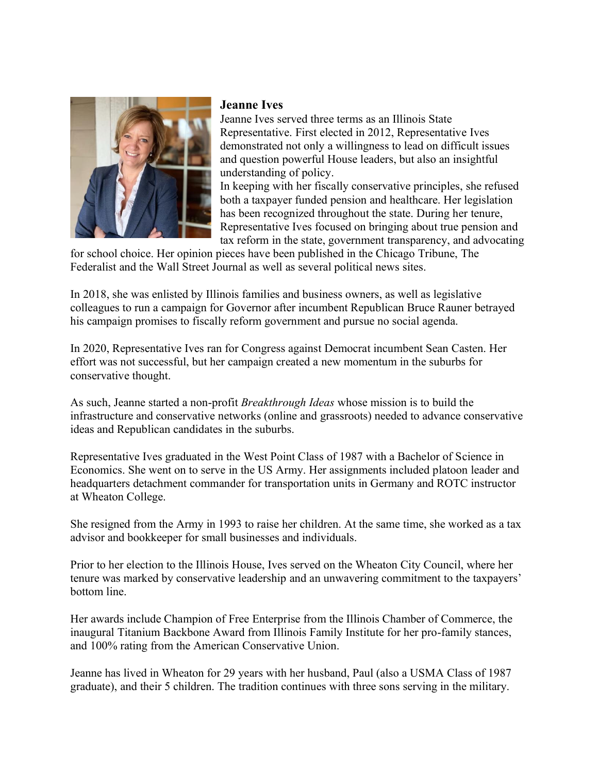

#### **Jeanne Ives**

Jeanne Ives served three terms as an Illinois State Representative. First elected in 2012, Representative Ives demonstrated not only a willingness to lead on difficult issues and question powerful House leaders, but also an insightful understanding of policy.

In keeping with her fiscally conservative principles, she refused both a taxpayer funded pension and healthcare. Her legislation has been recognized throughout the state. During her tenure, Representative Ives focused on bringing about true pension and tax reform in the state, government transparency, and advocating

for school choice. Her opinion pieces have been published in the Chicago Tribune, The Federalist and the Wall Street Journal as well as several political news sites.

In 2018, she was enlisted by Illinois families and business owners, as well as legislative colleagues to run a campaign for Governor after incumbent Republican Bruce Rauner betrayed his campaign promises to fiscally reform government and pursue no social agenda.

In 2020, Representative Ives ran for Congress against Democrat incumbent Sean Casten. Her effort was not successful, but her campaign created a new momentum in the suburbs for conservative thought.

As such, Jeanne started a non-profit *Breakthrough Ideas* whose mission is to build the infrastructure and conservative networks (online and grassroots) needed to advance conservative ideas and Republican candidates in the suburbs.

Representative Ives graduated in the West Point Class of 1987 with a Bachelor of Science in Economics. She went on to serve in the US Army. Her assignments included platoon leader and headquarters detachment commander for transportation units in Germany and ROTC instructor at Wheaton College.

She resigned from the Army in 1993 to raise her children. At the same time, she worked as a tax advisor and bookkeeper for small businesses and individuals.

Prior to her election to the Illinois House, Ives served on the Wheaton City Council, where her tenure was marked by conservative leadership and an unwavering commitment to the taxpayers' bottom line.

Her awards include Champion of Free Enterprise from the Illinois Chamber of Commerce, the inaugural Titanium Backbone Award from Illinois Family Institute for her pro-family stances, and 100% rating from the American Conservative Union.

Jeanne has lived in Wheaton for 29 years with her husband, Paul (also a USMA Class of 1987 graduate), and their 5 children. The tradition continues with three sons serving in the military.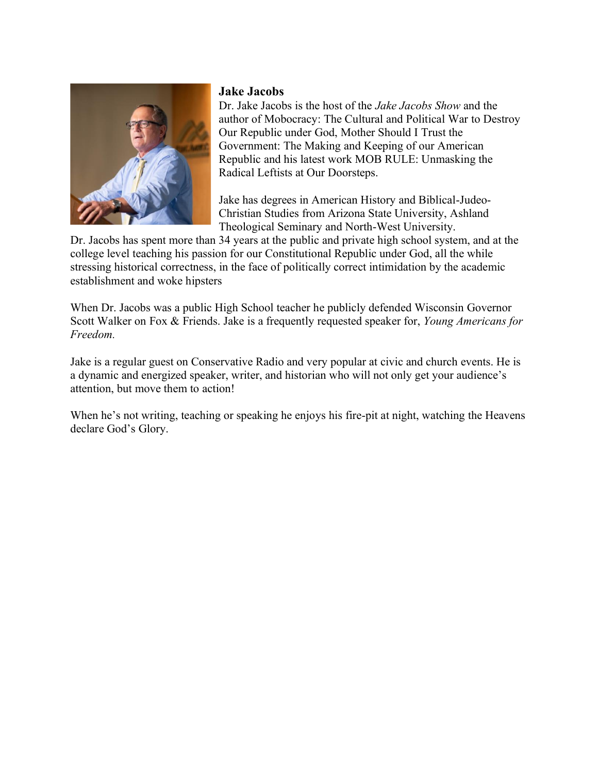

### **Jake Jacobs**

Dr. Jake Jacobs is the host of the *Jake Jacobs Show* and the author of Mobocracy: The Cultural and Political War to Destroy Our Republic under God, Mother Should I Trust the Government: The Making and Keeping of our American Republic and his latest work MOB RULE: Unmasking the Radical Leftists at Our Doorsteps.

Jake has degrees in American History and Biblical-Judeo-Christian Studies from Arizona State University, Ashland Theological Seminary and North-West University.

Dr. Jacobs has spent more than 34 years at the public and private high school system, and at the college level teaching his passion for our Constitutional Republic under God, all the while stressing historical correctness, in the face of politically correct intimidation by the academic establishment and woke hipsters

When Dr. Jacobs was a public High School teacher he publicly defended Wisconsin Governor Scott Walker on Fox & Friends. Jake is a frequently requested speaker for, *Young Americans for Freedom.*

Jake is a regular guest on Conservative Radio and very popular at civic and church events. He is a dynamic and energized speaker, writer, and historian who will not only get your audience's attention, but move them to action!

When he's not writing, teaching or speaking he enjoys his fire-pit at night, watching the Heavens declare God's Glory.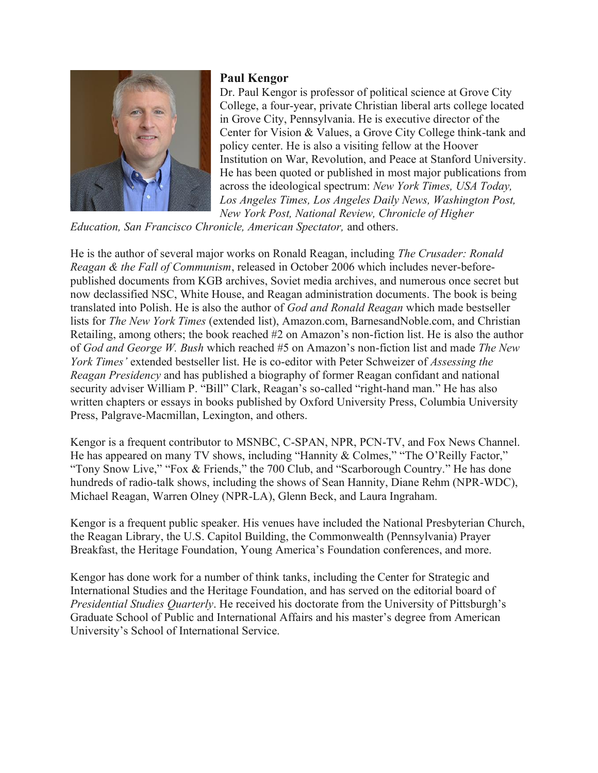

## **Paul Kengor**

Dr. Paul Kengor is professor of political science at Grove City College, a four-year, private Christian liberal arts college located in Grove City, Pennsylvania. He is executive director of the Center for Vision & Values, a Grove City College think-tank and policy center. He is also a visiting fellow at the Hoover Institution on War, Revolution, and Peace at Stanford University. He has been quoted or published in most major publications from across the ideological spectrum: *New York Times, USA Today, Los Angeles Times, Los Angeles Daily News, Washington Post, New York Post, National Review, Chronicle of Higher* 

*Education, San Francisco Chronicle, American Spectator,* and others.

He is the author of several major works on Ronald Reagan, including *The Crusader: Ronald Reagan & the Fall of Communism*, released in October 2006 which includes never-beforepublished documents from KGB archives, Soviet media archives, and numerous once secret but now declassified NSC, White House, and Reagan administration documents. The book is being translated into Polish. He is also the author of *God and Ronald Reagan* which made bestseller lists for *The New York Times* (extended list), Amazon.com, BarnesandNoble.com, and Christian Retailing, among others; the book reached #2 on Amazon's non-fiction list. He is also the author of *God and George W. Bush* which reached #5 on Amazon's non-fiction list and made *The New York Times'* extended bestseller list. He is co-editor with Peter Schweizer of *Assessing the Reagan Presidency* and has published a biography of former Reagan confidant and national security adviser William P. "Bill" Clark, Reagan's so-called "right-hand man." He has also written chapters or essays in books published by Oxford University Press, Columbia University Press, Palgrave-Macmillan, Lexington, and others.

Kengor is a frequent contributor to MSNBC, C-SPAN, NPR, PCN-TV, and Fox News Channel. He has appeared on many TV shows, including "Hannity & Colmes," "The O'Reilly Factor," "Tony Snow Live," "Fox & Friends," the 700 Club, and "Scarborough Country." He has done hundreds of radio-talk shows, including the shows of Sean Hannity, Diane Rehm (NPR-WDC), Michael Reagan, Warren Olney (NPR-LA), Glenn Beck, and Laura Ingraham.

Kengor is a frequent public speaker. His venues have included the National Presbyterian Church, the Reagan Library, the U.S. Capitol Building, the Commonwealth (Pennsylvania) Prayer Breakfast, the Heritage Foundation, Young America's Foundation conferences, and more.

Kengor has done work for a number of think tanks, including the Center for Strategic and International Studies and the Heritage Foundation, and has served on the editorial board of *Presidential Studies Quarterly*. He received his doctorate from the University of Pittsburgh's Graduate School of Public and International Affairs and his master's degree from American University's School of International Service.